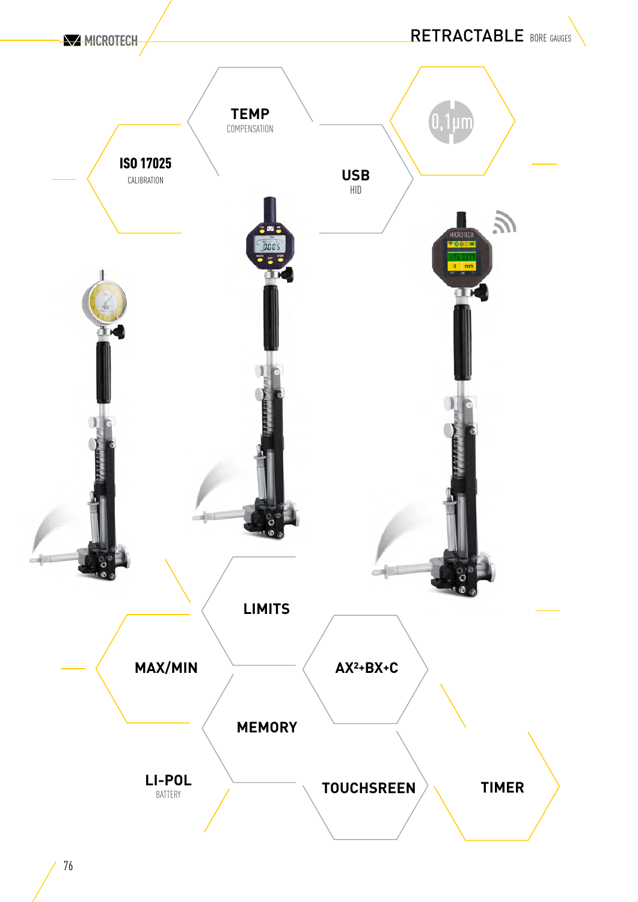